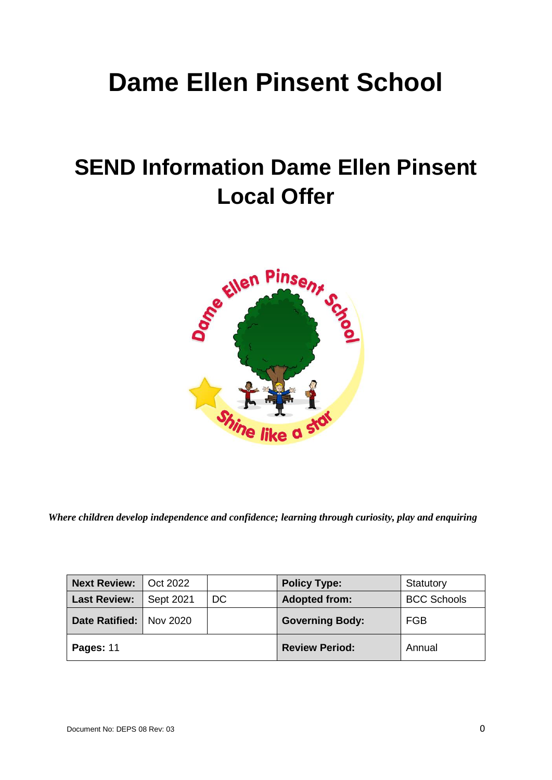## **Dame Ellen Pinsent School**

### **SEND Information Dame Ellen Pinsent Local Offer**



*Where children develop independence and confidence; learning through curiosity, play and enquiring*

| <b>Next Review:</b>   | Oct 2022  |           | <b>Policy Type:</b>    | Statutory          |
|-----------------------|-----------|-----------|------------------------|--------------------|
| <b>Last Review:</b>   | Sept 2021 | <b>DC</b> | <b>Adopted from:</b>   | <b>BCC Schools</b> |
| <b>Date Ratified:</b> | Nov 2020  |           | <b>Governing Body:</b> | <b>FGB</b>         |
| Pages: 11             |           |           | <b>Review Period:</b>  | Annual             |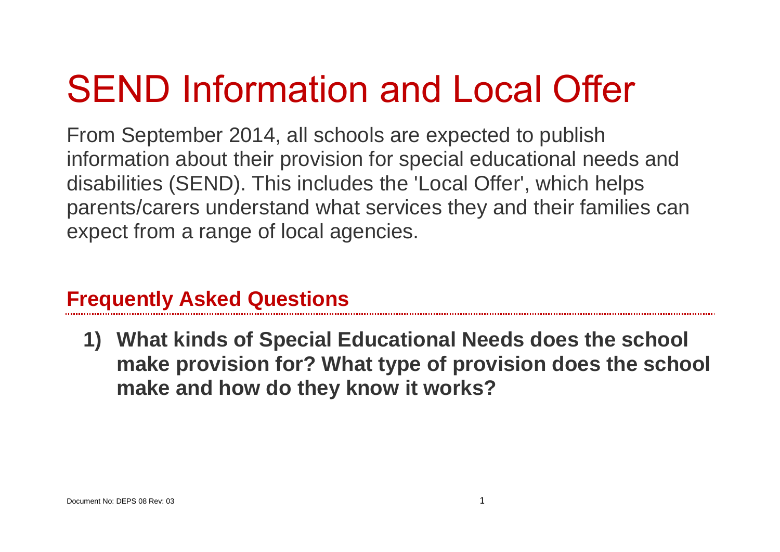# SEND Information and Local Offer

From September 2014, all schools are expected to publish information about their provision for special educational needs and disabilities (SEND). This includes the 'Local Offer', which helps parents/carers understand what services they and their families can expect from a range of local agencies.

#### **Frequently Asked Questions**

**1) What kinds of Special Educational Needs does the school make provision for? What type of provision does the school make and how do they know it works?**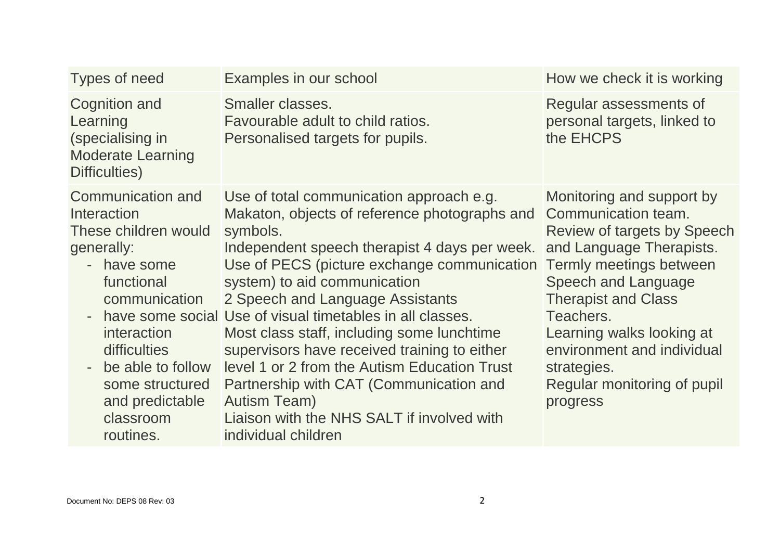| Types of need                                                                                                                                                                                                                                                     | Examples in our school                                                                                                                                                                                                                                                                                                                                                                                                                                                                                                                                                                                                      | How we check it is working                                                                                                                                                                                                                                                                                                    |
|-------------------------------------------------------------------------------------------------------------------------------------------------------------------------------------------------------------------------------------------------------------------|-----------------------------------------------------------------------------------------------------------------------------------------------------------------------------------------------------------------------------------------------------------------------------------------------------------------------------------------------------------------------------------------------------------------------------------------------------------------------------------------------------------------------------------------------------------------------------------------------------------------------------|-------------------------------------------------------------------------------------------------------------------------------------------------------------------------------------------------------------------------------------------------------------------------------------------------------------------------------|
| Cognition and<br>Learning<br>(specialising in<br><b>Moderate Learning</b><br>Difficulties)                                                                                                                                                                        | Smaller classes.<br>Favourable adult to child ratios.<br>Personalised targets for pupils.                                                                                                                                                                                                                                                                                                                                                                                                                                                                                                                                   | Regular assessments of<br>personal targets, linked to<br>the EHCPS                                                                                                                                                                                                                                                            |
| Communication and<br>Interaction<br>These children would<br>generally:<br>- have some<br>functional<br>communication<br>$\blacksquare$<br>interaction<br><b>difficulties</b><br>be able to follow<br>some structured<br>and predictable<br>classroom<br>routines. | Use of total communication approach e.g.<br>Makaton, objects of reference photographs and<br>symbols.<br>Independent speech therapist 4 days per week.<br>Use of PECS (picture exchange communication<br>system) to aid communication<br>2 Speech and Language Assistants<br>have some social Use of visual timetables in all classes.<br>Most class staff, including some lunchtime<br>supervisors have received training to either<br>level 1 or 2 from the Autism Education Trust<br>Partnership with CAT (Communication and<br><b>Autism Team)</b><br>Liaison with the NHS SALT if involved with<br>individual children | Monitoring and support by<br>Communication team.<br>Review of targets by Speech<br>and Language Therapists.<br>Termly meetings between<br>Speech and Language<br><b>Therapist and Class</b><br>Teachers.<br>Learning walks looking at<br>environment and individual<br>strategies.<br>Regular monitoring of pupil<br>progress |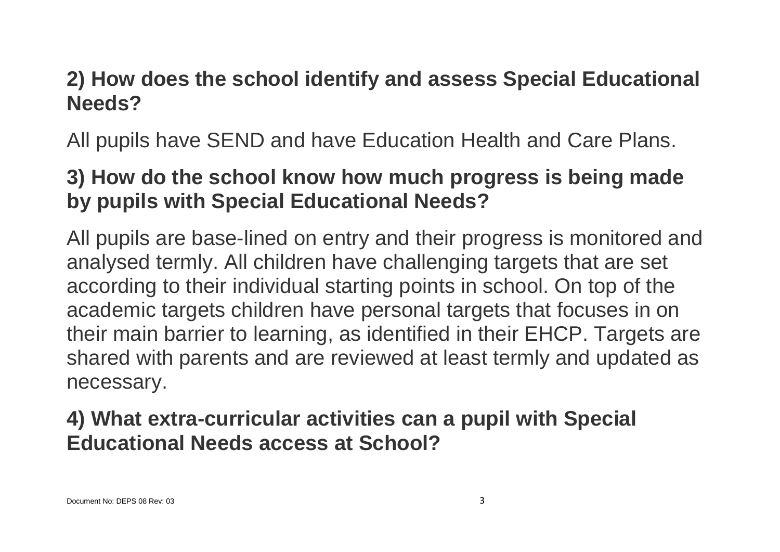#### **2) How does the school identify and assess Special Educational Needs?**

All pupils have SEND and have Education Health and Care Plans.

#### **3) How do the school know how much progress is being made by pupils with Special Educational Needs?**

All pupils are base-lined on entry and their progress is monitored and analysed termly. All children have challenging targets that are set according to their individual starting points in school. On top of the academic targets children have personal targets that focuses in on their main barrier to learning, as identified in their EHCP. Targets are shared with parents and are reviewed at least termly and updated as necessary.

#### **4) What extra-curricular activities can a pupil with Special Educational Needs access at School?**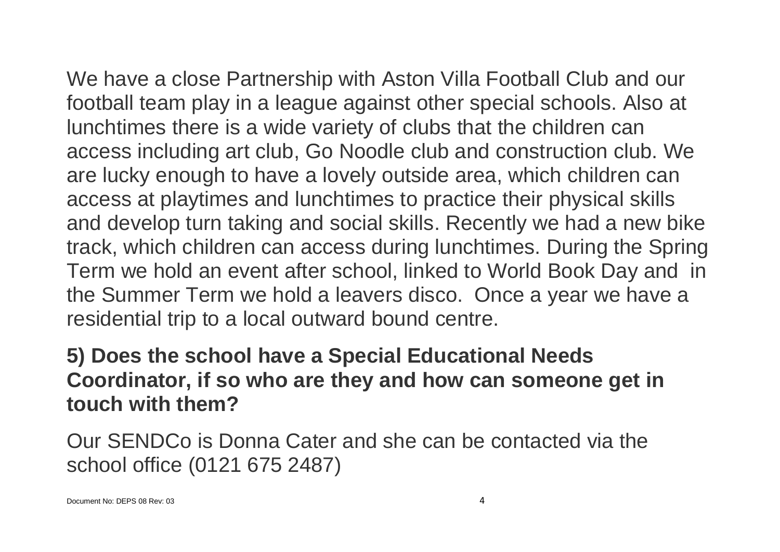We have a close Partnership with Aston Villa Football Club and our football team play in a league against other special schools. Also at lunchtimes there is a wide variety of clubs that the children can access including art club, Go Noodle club and construction club. We are lucky enough to have a lovely outside area, which children can access at playtimes and lunchtimes to practice their physical skills and develop turn taking and social skills. Recently we had a new bike track, which children can access during lunchtimes. During the Spring Term we hold an event after school, linked to World Book Day and in

the Summer Term we hold a leavers disco. Once a year we have a residential trip to a local outward bound centre.

#### **5) Does the school have a Special Educational Needs Coordinator, if so who are they and how can someone get in touch with them?**

Our SENDCo is Donna Cater and she can be contacted via the school office (0121 675 2487)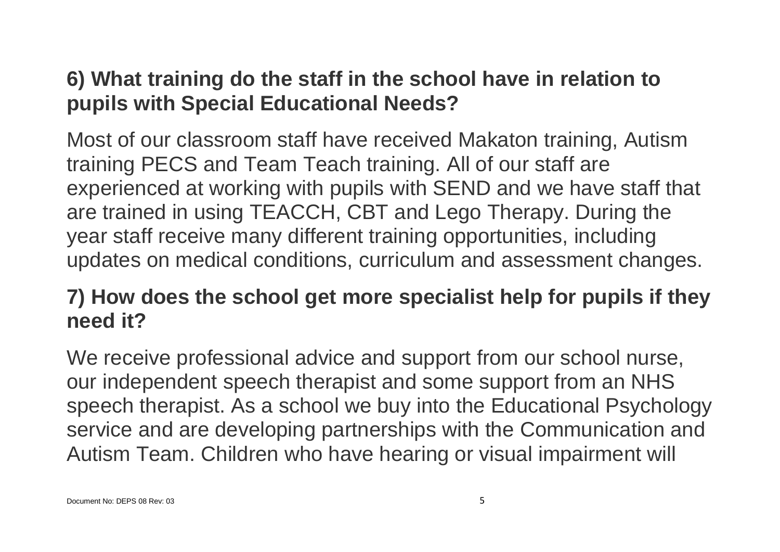#### **6) What training do the staff in the school have in relation to pupils with Special Educational Needs?**

Most of our classroom staff have received Makaton training, Autism training PECS and Team Teach training. All of our staff are experienced at working with pupils with SEND and we have staff that are trained in using TEACCH, CBT and Lego Therapy. During the year staff receive many different training opportunities, including updates on medical conditions, curriculum and assessment changes.

#### **7) How does the school get more specialist help for pupils if they need it?**

We receive professional advice and support from our school nurse, our independent speech therapist and some support from an NHS speech therapist. As a school we buy into the Educational Psychology service and are developing partnerships with the Communication and Autism Team. Children who have hearing or visual impairment will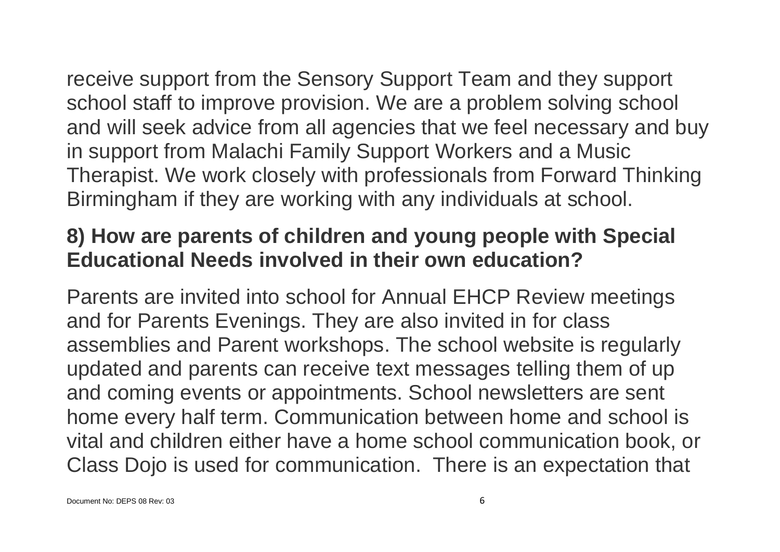receive support from the Sensory Support Team and they support school staff to improve provision. We are a problem solving school and will seek advice from all agencies that we feel necessary and buy in support from Malachi Family Support Workers and a Music Therapist. We work closely with professionals from Forward Thinking Birmingham if they are working with any individuals at school.

#### **8) How are parents of children and young people with Special Educational Needs involved in their own education?**

Parents are invited into school for Annual EHCP Review meetings and for Parents Evenings. They are also invited in for class assemblies and Parent workshops. The school website is regularly updated and parents can receive text messages telling them of up and coming events or appointments. School newsletters are sent home every half term. Communication between home and school is vital and children either have a home school communication book, or Class Dojo is used for communication. There is an expectation that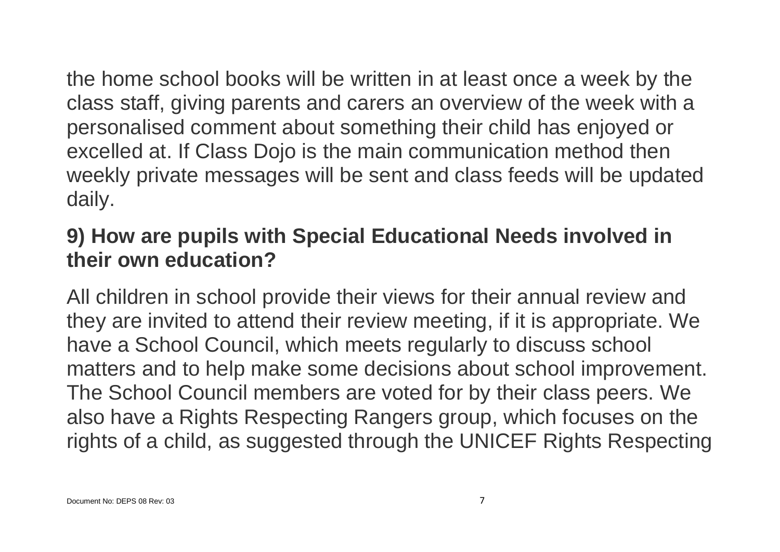the home school books will be written in at least once a week by the class staff, giving parents and carers an overview of the week with a personalised comment about something their child has enjoyed or excelled at. If Class Dojo is the main communication method then weekly private messages will be sent and class feeds will be updated daily.

#### **9) How are pupils with Special Educational Needs involved in their own education?**

All children in school provide their views for their annual review and they are invited to attend their review meeting, if it is appropriate. We have a School Council, which meets regularly to discuss school matters and to help make some decisions about school improvement. The School Council members are voted for by their class peers. We also have a Rights Respecting Rangers group, which focuses on the rights of a child, as suggested through the UNICEF Rights Respecting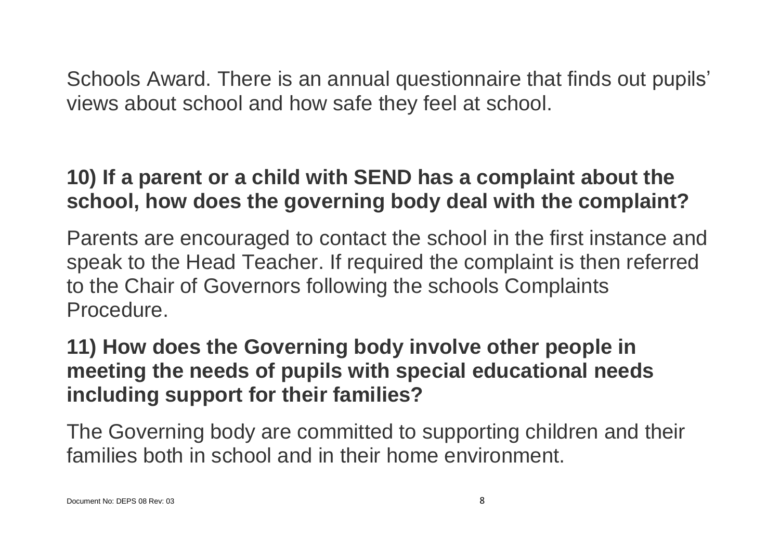Schools Award. There is an annual questionnaire that finds out pupils' views about school and how safe they feel at school.

#### **10) If a parent or a child with SEND has a complaint about the school, how does the governing body deal with the complaint?**

Parents are encouraged to contact the school in the first instance and speak to the Head Teacher. If required the complaint is then referred to the Chair of Governors following the schools Complaints Procedure.

#### **11) How does the Governing body involve other people in meeting the needs of pupils with special educational needs including support for their families?**

The Governing body are committed to supporting children and their families both in school and in their home environment.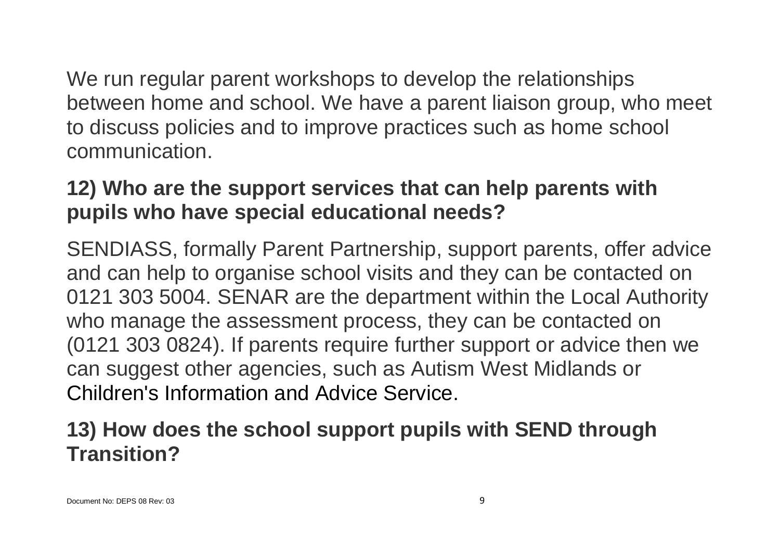We run regular parent workshops to develop the relationships between home and school. We have a parent liaison group, who meet to discuss policies and to improve practices such as home school communication.

#### **12) Who are the support services that can help parents with pupils who have special educational needs?**

SENDIASS, formally Parent Partnership, support parents, offer advice and can help to organise school visits and they can be contacted on 0121 303 5004. SENAR are the department within the Local Authority who manage the assessment process, they can be contacted on (0121 303 0824). If parents require further support or advice then we can suggest other agencies, such as Autism West Midlands or Children's Information and Advice Service.

#### **13) How does the school support pupils with SEND through Transition?**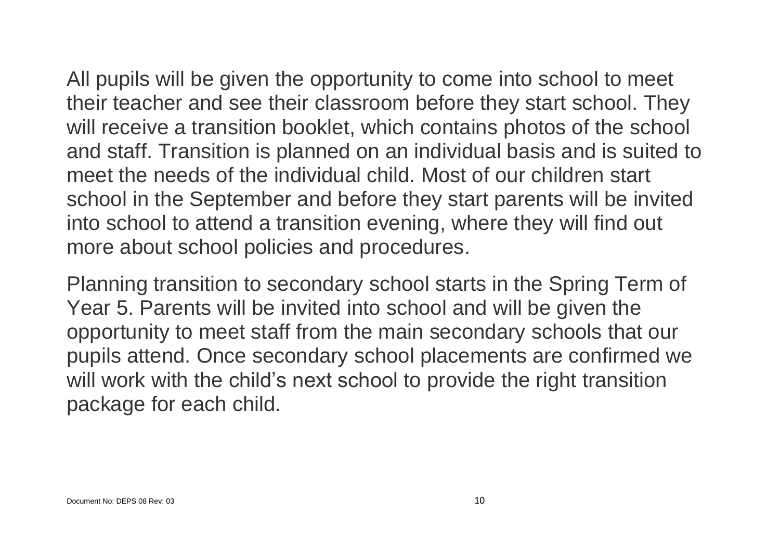All pupils will be given the opportunity to come into school to meet their teacher and see their classroom before they start school. They will receive a transition booklet, which contains photos of the school and staff. Transition is planned on an individual basis and is suited to meet the needs of the individual child. Most of our children start school in the September and before they start parents will be invited into school to attend a transition evening, where they will find out more about school policies and procedures.

Planning transition to secondary school starts in the Spring Term of Year 5. Parents will be invited into school and will be given the opportunity to meet staff from the main secondary schools that our pupils attend. Once secondary school placements are confirmed we will work with the child's next school to provide the right transition package for each child.